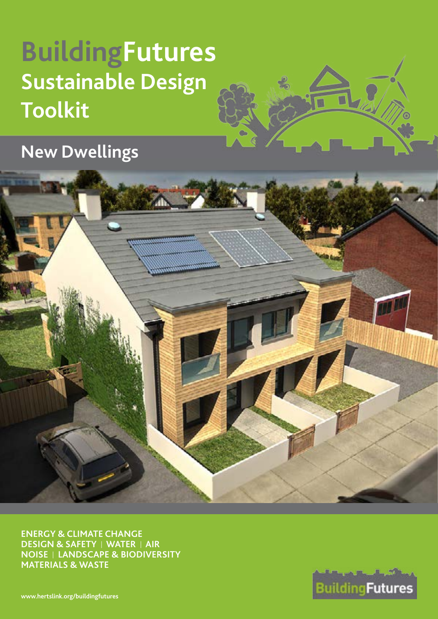# **BuildingFutures Sustainable Design Toolkit**

**New Dwellings**



**ENERGY & CLIMATE CHANGE DESIGN & SAFETY** I **WATER** I **AIR NOISE** I **LANDSCAPE & BIODIVERSITY MATERIALS & WASTE**



**[www.hertslink.org/buildingfutures](http://www.hertslink.org/buildingfutures)**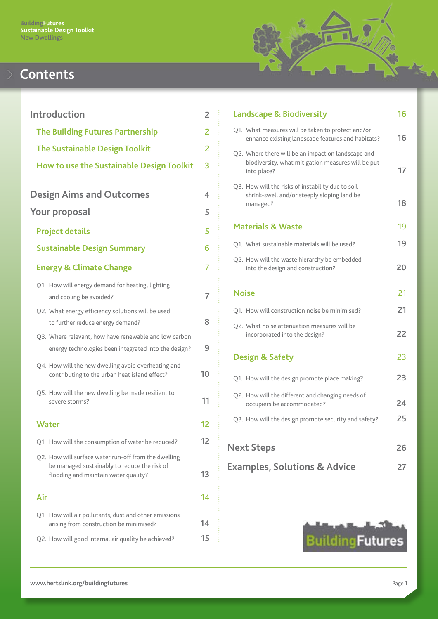

# **Contents**

| <b>Introduction</b>                                                                                                                          | 2  |
|----------------------------------------------------------------------------------------------------------------------------------------------|----|
| <b>The Building Futures Partnership</b>                                                                                                      | 2  |
| <b>The Sustainable Design Toolkit</b>                                                                                                        | 2  |
| How to use the Sustainable Design Toolkit                                                                                                    | 3  |
|                                                                                                                                              |    |
| <b>Design Aims and Outcomes</b>                                                                                                              | 4  |
| <b>Your proposal</b>                                                                                                                         | 5  |
| <b>Project details</b>                                                                                                                       | 5  |
| <b>Sustainable Design Summary</b>                                                                                                            | 6  |
| <b>Energy &amp; Climate Change</b>                                                                                                           | 7  |
| Q1. How will energy demand for heating, lighting<br>and cooling be avoided?                                                                  | 7  |
| Q2. What energy efficiency solutions will be used<br>to further reduce energy demand?                                                        | 8  |
| Q3. Where relevant, how have renewable and low carbon<br>energy technologies been integrated into the design?                                | 9  |
| Q4. How will the new dwelling avoid overheating and<br>contributing to the urban heat island effect?                                         | 10 |
| Q5. How will the new dwelling be made resilient to<br>severe storms?                                                                         | 11 |
| Water                                                                                                                                        | 12 |
| Q1. How will the consumption of water be reduced?                                                                                            | 12 |
| Q2. How will surface water run-off from the dwelling<br>be managed sustainably to reduce the risk of<br>flooding and maintain water quality? | 13 |
| Air                                                                                                                                          | 14 |
| Q1. How will air pollutants, dust and other emissions<br>arising from construction be minimised?                                             | 14 |
| Q2. How will good internal air quality be achieved?                                                                                          | 15 |

| <b>Landscape &amp; Biodiversity</b>                                                                                     | 16 |
|-------------------------------------------------------------------------------------------------------------------------|----|
| Q1. What measures will be taken to protect and/or<br>enhance existing landscape features and habitats?                  | 16 |
| Q2. Where there will be an impact on landscape and<br>biodiversity, what mitigation measures will be put<br>into place? | 17 |
| Q3. How will the risks of instability due to soil<br>shrink-swell and/or steeply sloping land be<br>managed?            | 18 |
| <b>Materials &amp; Waste</b>                                                                                            | 19 |
| Q1. What sustainable materials will be used?                                                                            | 19 |
| Q2. How will the waste hierarchy be embedded<br>into the design and construction?                                       | 20 |
| <b>Noise</b>                                                                                                            | 21 |
| O1. How will construction noise be minimised?                                                                           | 21 |
| Q2. What noise attenuation measures will be<br>incorporated into the design?                                            | 22 |
| <b>Design &amp; Safety</b>                                                                                              | 23 |
| Q1. How will the design promote place making?                                                                           | 23 |
| Q2. How will the different and changing needs of<br>occupiers be accommodated?                                          | 24 |
| Q3. How will the design promote security and safety?                                                                    | 25 |
| <b>Next Steps</b>                                                                                                       | 26 |
| <b>Examples, Solutions &amp; Advice</b>                                                                                 | 27 |
|                                                                                                                         |    |

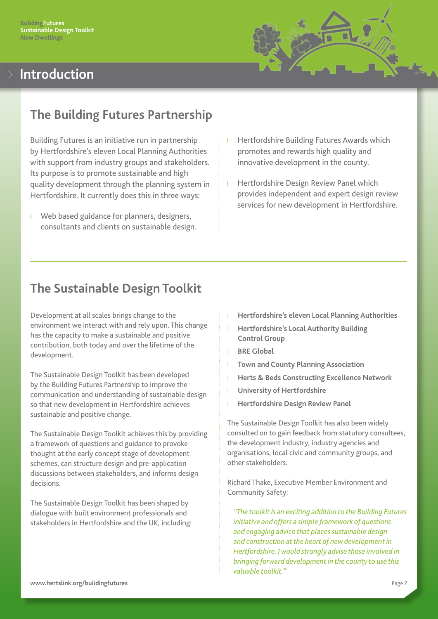

# <span id="page-2-0"></span>**Introduction**

### **The Building Futures Partnership**

Building Futures is an initiative run in partnership by Hertfordshire's eleven Local Planning Authorities with support from industry groups and stakeholders. Its purpose is to promote sustainable and high quality development through the planning system in Hertfordshire. It currently does this in three ways:

- l Web based guidance for planners, designers, consultants and clients on sustainable design.
- l Hertfordshire Building Futures Awards which promotes and rewards high quality and innovative development in the county.
- l Hertfordshire Design Review Panel which provides independent and expert design review services for new development in Hertfordshire.

### **The Sustainable Design Toolkit**

Development at all scales brings change to the environment we interact with and rely upon. This change has the capacity to make a sustainable and positive contribution, both today and over the lifetime of the development.

The Sustainable Design Toolkit has been developed by the Building Futures Partnership to improve the communication and understanding of sustainable design so that new development in Hertfordshire achieves sustainable and positive change.

The Sustainable Design Toolkit achieves this by providing a framework of questions and guidance to provoke thought at the early concept stage of development schemes, can structure design and pre-application discussions between stakeholders, and informs design decisions.

The Sustainable Design Toolkit has been shaped by dialogue with built environment professionals and stakeholders in Hertfordshire and the UK, including:

- l **Hertfordshire's eleven Local Planning Authorities**
- l **Hertfordshire's Local Authority Building Control Group**
- l **BRE Global**
- **Town and County Planning Association**
- l **Herts & Beds Constructing Excellence Network**
- l **University of Hertfordshire**
- l **Hertfordshire Design Review Panel**

The Sustainable Design Toolkit has also been widely consulted on to gain feedback from statutory consultees, the development industry, industry agencies and organisations, local civic and community groups, and other stakeholders.

Richard Thake, Executive Member Environment and Community Safety:

*"The toolkit is an exciting addition to the Building Futures initiative and offers a simple framework of questions and engaging advice that places sustainable design and construction at the heart of new development in Hertfordshire. I would strongly advise those involved in bringing forward development in the county to use this valuable toolkit."*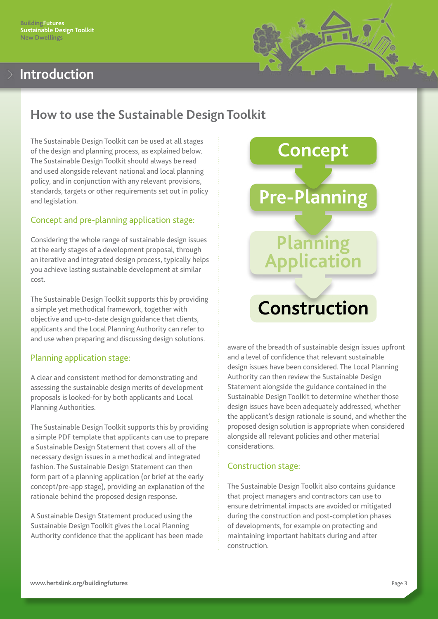# <span id="page-3-0"></span>**Introduction**

# **How to use the Sustainable Design Toolkit**

The Sustainable Design Toolkit can be used at all stages of the design and planning process, as explained below. The Sustainable Design Toolkit should always be read and used alongside relevant national and local planning policy, and in conjunction with any relevant provisions, standards, targets or other requirements set out in policy and legislation.

#### Concept and pre-planning application stage:

Considering the whole range of sustainable design issues at the early stages of a development proposal, through an iterative and integrated design process, typically helps you achieve lasting sustainable development at similar cost.

The Sustainable Design Toolkit supports this by providing a simple yet methodical framework, together with objective and up-to-date design guidance that clients, applicants and the Local Planning Authority can refer to and use when preparing and discussing design solutions.

### Planning application stage:

A clear and consistent method for demonstrating and assessing the sustainable design merits of development proposals is looked-for by both applicants and Local Planning Authorities.

The Sustainable Design Toolkit supports this by providing a simple PDF template that applicants can use to prepare a Sustainable Design Statement that covers all of the necessary design issues in a methodical and integrated fashion. The Sustainable Design Statement can then form part of a planning application (or brief at the early concept/pre-app stage), providing an explanation of the rationale behind the proposed design response.

A Sustainable Design Statement produced using the Sustainable Design Toolkit gives the Local Planning Authority confidence that the applicant has been made



aware of the breadth of sustainable design issues upfront and a level of confidence that relevant sustainable design issues have been considered. The Local Planning Authority can then review the Sustainable Design Statement alongside the guidance contained in the Sustainable Design Toolkit to determine whether those design issues have been adequately addressed, whether the applicant's design rationale is sound, and whether the proposed design solution is appropriate when considered alongside all relevant policies and other material considerations.

#### Construction stage:

The Sustainable Design Toolkit also contains guidance that project managers and contractors can use to ensure detrimental impacts are avoided or mitigated during the construction and post-completion phases of developments, for example on protecting and maintaining important habitats during and after construction.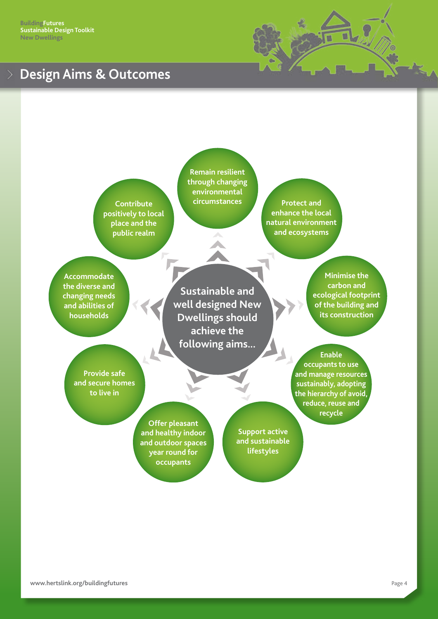<span id="page-4-0"></span>**BuildingFutures Sustainable Design Toolkit New Dwellings**

### **Design Aims & Outcomes**



**Contribute positively to local place and the public realm**

**Remain resilient through changing environmental circumstances Protect and** 

**enhance the local natural environment and ecosystems**

**Accommodate the diverse and changing needs and abilities of households**

**Sustainable and well designed New Dwellings should achieve the following aims...**

**Minimise the carbon and ecological footprint of the building and its construction**

**Provide safe and secure homes to live in**

> **Offer pleasant and healthy indoor and outdoor spaces year round for occupants**

**Support active and sustainable lifestyles**

**Enable occupants to use and manage resources sustainably, adopting the hierarchy of avoid, reduce, reuse and recycle**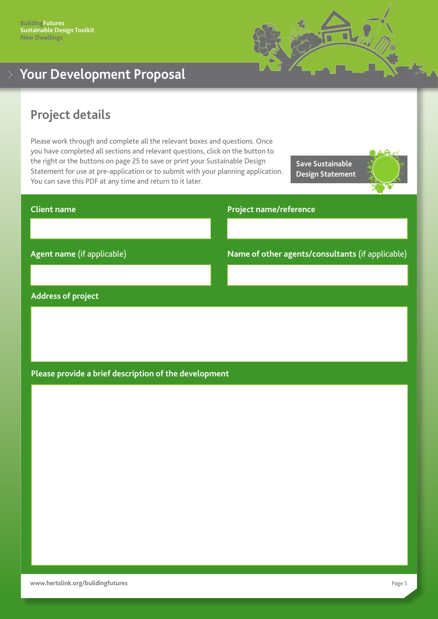

# <span id="page-5-0"></span>**Your Development Proposal**

### **Project details**

Please work through and complete all the relevant boxes and questions. Once you have completed all sections and relevant questions, click on the button to the right or the buttons on page 25 to save or print your Sustainable Design Statement for use at pre-application or to submit with your planning application. You can save this PDF at any time and return to it later.

**Save Sustainable Design Statement**



# **Client name Agent name** (if applicable) **Project name/reference Name of other agents/consultants** (if applicable)

#### **Address of project**

#### **Please provide a brief description of the development**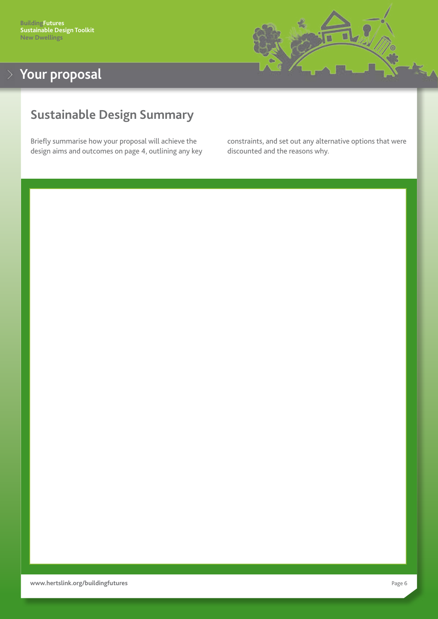

# <span id="page-6-0"></span>**Sustainable Design Summary**

Briefly summarise how your proposal will achieve the design aims and outcomes on page 4, outlining any key constraints, and set out any alternative options that were discounted and the reasons why.

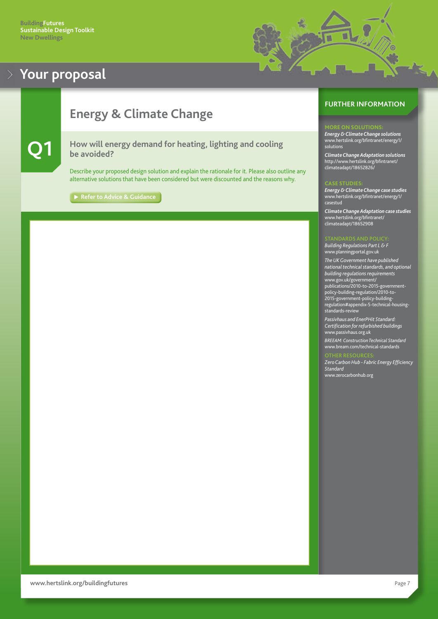<span id="page-7-0"></span>



# **Energy & Climate Change**

#### **Q1 How will energy demand for heating, lighting and cooling be avoided?**

Describe your proposed design solution and explain the rationale for it. Please also outline any alternative solutions that have been considered but were discounted and the reasons why.

**► [Refer to Advice & Guidance](#page-27-0)** 

#### **FURTHER INFORMATION**

#### MORE ON SOLUTIONS:

*Energy & Climate Change solutions* [www.hertslink.org/bfintranet/energy1/](http://www.hertslink.org/bfintranet/energy1/solutions/) [solutions](http://www.hertslink.org/bfintranet/energy1/solutions/)

*Climate Change Adaptation solutions* [http://www.hertslink.org/bfintranet/](http://www.hertslink.org/bfintranet/climateadapt/18652826/) [climateadapt/18652826/](http://www.hertslink.org/bfintranet/climateadapt/18652826/)

*Energy & Climate Change case studies* [www.hertslink.org/bfintranet/energy1/](http://www.hertslink.org/bfintranet/energy1/casestud/) [casestud](http://www.hertslink.org/bfintranet/energy1/casestud/)

*Climate Change Adaptation case studies* [www.hertslink.org/bfintranet/](http://www.hertslink.org/bfintranet/climateadapt/18652908/) [climateadapt/18652908](http://www.hertslink.org/bfintranet/climateadapt/18652908/)

*Building Regulations Part L & F* <www.planningportal.gov.uk>

*The UK Government have published national technical standards, and optional building regulations requirements* [www.gov.uk](http://www.gov.uk/government/publications/2010-to-2015-government-policy-building-regulation/2010-to-2015-government-policy-building-regulation#appendix-5-technical-housing-
standards-review)/government/ publications/2010-to-2015-governmentpolicy-building-regulation/2010-to-2015-government-policy-buildingregulation#appendix-5-technical-housingstandards-review

*Passivhaus and EnerPHit Standard: Certification for refurbished buildings* <www.passivhaus.org.uk> *BREEAM: Construction Technical Standard* [www.bream.com/technical-standards](http://www.breeam.com/technical-standards)

*Zero Carbon Hub - Fabric Energy Efficiency Standard* [www.zerocarbonhub.org](www.zerocarbonhub.org/)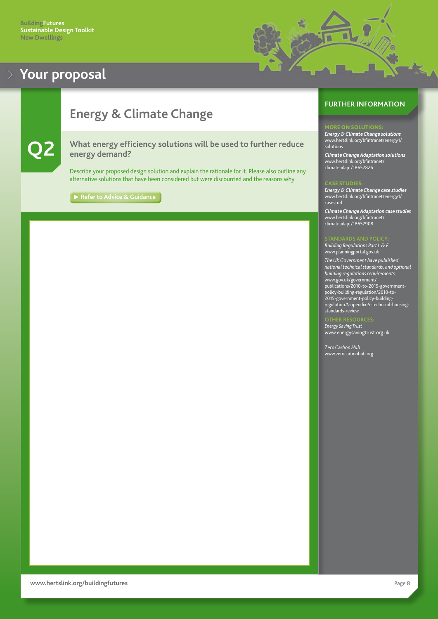

# <span id="page-8-0"></span>**Energy & Climate Change**

**Q2 What energy efficiency solutions will be used to further reduce energy demand?**

Describe your proposed design solution and explain the rationale for it. Please also outline any alternative solutions that have been considered but were discounted and the reasons why.

**[Refer to Advice & Guidance](#page-27-0)**

#### **FURTHER INFORMATION**

#### **ORE ON SOLUTIONS**

*Energy & Climate Change solutions* [www.hertslink.org/bfintranet/energy1/](http://www.hertslink.org/bfintranet/energy1/solutions/) [solutions](http://www.hertslink.org/bfintranet/energy1/solutions/)

*Climate Change Adaptation solutions* [www.hertslink.org/bfintranet/](http://www.hertslink.org/bfintranet/climateadapt/18652826/) [climateadapt/18652826](http://www.hertslink.org/bfintranet/climateadapt/18652826/)

#### CASE STUDIE:

*Energy & Climate Change case studies* [www.hertslink.org/bfintranet/energy1/](http://www.hertslink.org/bfintranet/energy1/casestud/) [casestud](http://www.hertslink.org/bfintranet/energy1/casestud/)

*Climate Change Adaptation case studies* [www.hertslink.org/bfintranet/](http://www.hertslink.org/bfintranet/climateadapt/18652826/) [climateadapt/18652908](http://www.hertslink.org/bfintranet/climateadapt/18652826/)

*Building Regulations Part L & F* <www.planningportal.gov.uk> *The UK Government have published national technical standards, and optional building regulations requirements* [www.gov.uk](http://www.gov.uk/government/publications/2010-to-2015-government-policy-building-regulation/2010-to-2015-government-policy-building-regulation#appendix-5-technical-housing-
standards-review)/government/

publications/2010-to-2015-governmentpolicy-building-regulation/2010-to-2015-government-policy-buildingregulation#appendix-5-technical-housingstandards-review

*Energy Saving Trust* <www.energysavingtrust.org.uk>

*Zero Carbon Hub* [www.zerocarbonhub.org](www.zerocarbonhub.org/)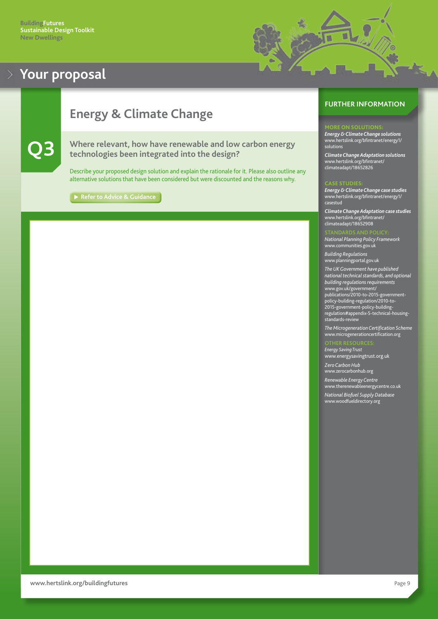<span id="page-9-0"></span>

# **Energy & Climate Change**

#### **Q3 Where relevant, how have renewable and low carbon energy technologies been integrated into the design?**

Describe your proposed design solution and explain the rationale for it. Please also outline any alternative solutions that have been considered but were discounted and the reasons why.

**► [Refer to Advice & Guidance](#page-28-0)** 

#### **FURTHER INFORMATION**

#### ORE ON SOLUTIONS

u

*Energy & Climate Change solutions* [www.hertslink.org/bfintranet/energy1/](http://www.hertslink.org/bfintranet/energy1/solutions) [solutions](http://www.hertslink.org/bfintranet/energy1/solutions)

*Climate Change Adaptation solutions* [www.hertslink.org/bfintranet/](http://www.hertslink.org/bfintranet/climateadapt/18652826) [climateadapt/18652826](http://www.hertslink.org/bfintranet/climateadapt/18652826)

*Energy & Climate Change case studies* [www.hertslink.org/bfintranet/energy1/](http://www.hertslink.org/bfintranet/energy1/casestud) [casestud](http://www.hertslink.org/bfintranet/energy1/casestud)

*Climate Change Adaptation case studies* [www.hertslink.org/bfintranet/](http://www.hertslink.org/bfintranet/climateadapt/18652908) [climateadapt/18652908](http://www.hertslink.org/bfintranet/climateadapt/18652908)

*National Planning Policy Framework* <www.communities.gov.uk>

*Building Regulations* <www.planningportal.gov.uk>

*The UK Government have published national technical standards, and optional building regulations requirements* [www.gov.uk](http://www.gov.uk/government/publications/2010-to-2015-government-policy-building-regulation/2010-to-2015-government-policy-building-regulation#appendix-5-technical-housing-
standards-review)/government/ publications/2010-to-2015-governmentpolicy-building-regulation/2010-to-2015-government-policy-buildingregulation#appendix-5-technical-housingstandards-review

*The Microgeneration Certification Scheme* <www.microgenerationcertification.org>

*Energy Saving Trust* <www.energysavingtrust.org.uk> *Zero Carbon Hub* <www.zerocarbonhub.org>

*Renewable Energy Centre* <www.therenewableenergycentre.co.uk>

*National Biofuel Supply Database*

<www.woodfueldirectory.org>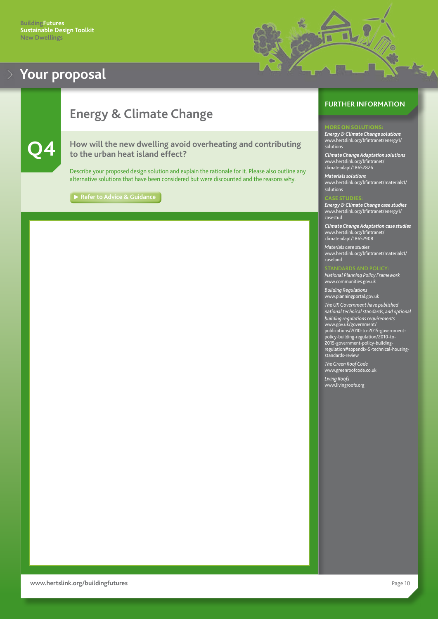

# <span id="page-10-0"></span>**Energy & Climate Change**

**Q4 How will the new dwelling avoid overheating and contributing to the urban heat island effect?** 

Describe your proposed design solution and explain the rationale for it. Please also outline any alternative solutions that have been considered but were discounted and the reasons why.

[Refer to Advice & Guidance](#page-28-0)

#### **FURTHER INFORMATION**

#### **IORE ON SOLUTIONS**

*Energy & Climate Change solutions* [www.hertslink.org/bfintranet/energy1/](http://www.hertslink.org/bfintranet/energy1/solutions) [solutions](http://www.hertslink.org/bfintranet/energy1/solutions)

*Climate Change Adaptation solutions* [www.hertslink.org/bfintranet/](http://www.hertslink.org/bfintranet/climateadapt/18652826) [climateadapt/18652826](http://www.hertslink.org/bfintranet/climateadapt/18652826)

*Materials solutions* [www.hertslink.org/bfintranet/materials1/](http://www.hertslink.org/bfintranet/materials1/solutions) [solutions](http://www.hertslink.org/bfintranet/materials1/solutions)

#### CASE STUDIES:

*Energy & Climate Change case studies* [www.hertslink.org/bfintranet/energy1/](http://www.hertslink.org/bfintranet/energy1/casestud) [casestud](http://www.hertslink.org/bfintranet/energy1/casestud)

*Climate Change Adaptation case studies* [www.hertslink.org/bfintranet/](http://www.hertslink.org/bfintranet/climateadapt/18652908) [climateadapt/1](http://www.hertslink.org/bfintranet/climateadapt/18652908)8652908

*Materials case studies* [www.hertslink.org/bfintranet/materials1/](http://www.hertslink.org/bfintranet/materials1/caseland/) [caseland](http://www.hertslink.org/bfintranet/materials1/caseland/)

*National Planning Policy Framework* <www.communities.gov.uk>

*Building Regulations* <www.planningportal.gov.uk>

*The UK Government have published national technical standards, and optional building regulations requirements* [www.gov.uk](http://www.gov.uk/government/publications/2010-to-2015-government-policy-building-regulation/2010-to-2015-government-policy-building-regulation#appendix-5-technical-housing-
standards-review)/government/ publications/2010-to-2015-governmentpolicy-building-regulation/2010-to-2015-government-policy-buildingregulation#appendix-5-technical-housingstandards-review

*The Green Roof Code* <www.greenroofcode.co.uk>

*Living Roofs* <www.livingroofs.org>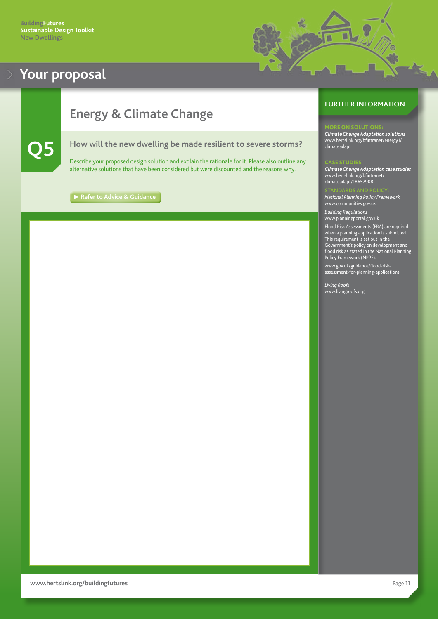

# <span id="page-11-0"></span>**Energy & Climate Change**

#### **Q5 How will the new dwelling be made resilient to severe storms?**

Describe your proposed design solution and explain the rationale for it. Please also outline any alternative solutions that have been considered but were discounted and the reasons why.

**[Refer to Advice & Guidance](#page-29-0)**

#### **FURTHER INFORMATION**

#### MORE ON SOLUTIONS:

*Climate Change Adaptation solutions* [www.hertslink.org/bfintranet/energy1/](http://www.hertslink.org/bfintranet/energy1/climateadapt) climateadapt

#### CASE STUDIES:

*Climate Change Adaptation case studies* [www.hertslink.org/bfintranet/](http://www.hertslink.org/bfintranet/climateadapt/18652908) climateadapt/18652908

*National Planning Policy Framework* <www.communities.gov.uk>

*Building Regulations* <www.planningportal.gov.uk>

Flood Risk Assessments (FRA) are required when a planning application is submitted. This requirement is set out in the Government's policy on development and flood risk as stated in the National Planning Policy Framework (NPPF).

[www.gov.uk/guidance/flood-risk](http://www.gov.uk/guidance/flood-risk-assessment-for-planning-applications)[assessment-for-planning-applications](http://www.gov.uk/guidance/flood-risk-assessment-for-planning-applications)

*Living Roofs* <www.livingroofs.org>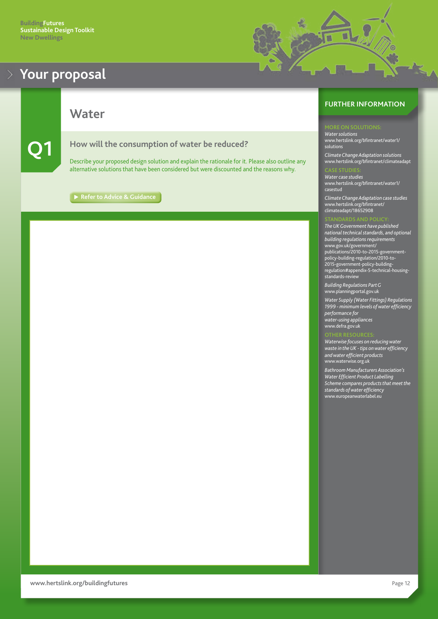<span id="page-12-0"></span>

**Water**

**Q1 How will the consumption of water be reduced?**

Describe your proposed design solution and explain the rationale for it. Please also outline any alternative solutions that have been considered but were discounted and the reasons why.

**[Refer to Advice & Guidance](#page-29-0)**

#### **FURTHER INFORMATION**

u a)

*Water solutions* [www.hertslink.org/bfintranet/water1/](http://www.hertslink.org/bfintranet/water1/solutions) [solutions](http://www.hertslink.org/bfintranet/water1/solutions)

*Climate Change Adaptation solutions* [www.hertslink.org/bfintranet/climateadap](http://www.hertslink.org/bfintranet/climateadapt)t

*Water case studies* [www.hertslink.org/bfintranet/water1/](http://www.hertslink.org/bfintranet/water1/casestud) [casestud](http://www.hertslink.org/bfintranet/water1/casestud)

*Climate Change Adaptation case studies* [www.hertslink.org/bfintranet/](http://www.hertslink.org/bfintranet/climateadapt/18652908
climateadapt/18652908) [climateadapt/18652908](http://www.hertslink.org/bfintranet/climateadapt/18652908
climateadapt/18652908)

*The UK Government have published national technical standards, and optional building regulations requirements* [www.gov.uk](http://www.gov.uk/government/publications/2010-to-2015-government-policy-building-regulation/2010-to-2015-government-policy-building-regulation#appendix-5-technical-housing-
standards-review)/government/ publications/2010-to-2015-governmentpolicy-building-regulation/2010-to-2015-government-policy-buildingregulation#appendix-5-technical-housingstandards-review

*Building Regulations Part G* <www.planningportal.gov.uk>

*Water Supply (Water Fittings) Regulations 1999 - minimum levels of water efficiency performance for water-using appliances* <www.defra.gov.uk>

*Waterwise focuses on reducing water waste in the UK - tips on water efficiency and water efficient products* <www.waterwise.org.uk>

*Bathroom Manufacturers Association's Water Efficient Product Labelling Scheme compares products that meet the standards of water efficiency* [www.e](http://www.europeanwaterlabel.eu
standards-review)uropeanwaterlabel.eu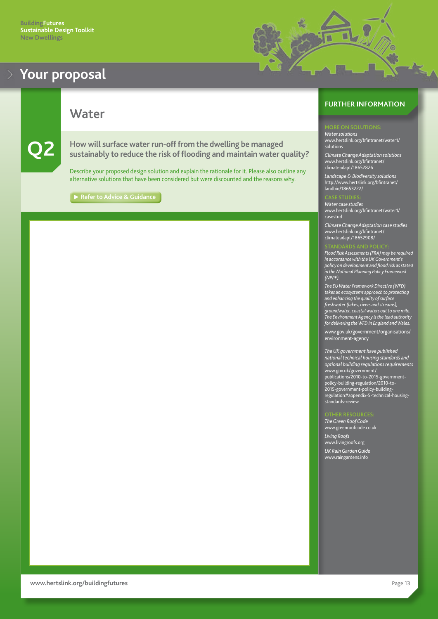<span id="page-13-0"></span>**Water**

**Q2** How will surface water run-off from the dwelling be managed sustainably to reduce the risk of flooding and maintain water quality?

Describe your proposed design solution and explain the rationale for it. Please also outline any alternative solutions that have been considered but were discounted and the reasons why.

**[Refer to Advice & Guidance](#page-30-0)**

#### **FURTHER INFORMATION**

u a)

*Water solutions* [www.hertslink.org/bfintranet/water1](http://www.hertslink.org/bfintranet/water1/solutions)/ solutions

*Climate Change Adaptation solutions* [www.hertslink.org/](http://www.hertslink.org/bfintranet/climateadapt/18652826)bfintranet/ climateadapt/18652826

*Landscape & Biodiversity solutions* [http://www.hertslink.org/bfintranet/](http://www.hertslink.org/bfintranet/landbio/18653222/) [landbio/18653222/](http://www.hertslink.org/bfintranet/landbio/18653222/)

*Water case studies* [www.hertslink.org/bfintranet/water1/](http://www.hertslink.org/bfintranet/water1/casestud) [casestud](http://www.hertslink.org/bfintranet/water1/casestud)

*Climate Change Adaptation case studies* [www.hertslink.org/bfintranet/](http://www.hertslink.org/bfintranet/climateadapt/18652908/) [climateadapt/18652908/](http://www.hertslink.org/bfintranet/climateadapt/18652908/)

*Flood Risk Assessments (FRA) may be required in accordance with the UK Government's policy on development and flood risk as stated in the National Planning Policy Framework (NPPF).*

*The EU Water Framework Directive (WFD) takes an ecosystems approach to protecting and enhancing the quality of surface freshwater (lakes, rivers and streams), groundwater, coastal waters out to one mile. The Environment Agency is the lead authority for delivering the WFD in England and Wales.*

[www.gov.uk/government/organisations/](http://www.gov.uk/government/organisations/environment-agency) [environment-agency](http://www.gov.uk/government/organisations/environment-agency)

*The UK government have published national technical housing standards and optional building regulations requirements* [www.gov.uk](http://www.gov.uk/government/publications/2010-to-2015-government-policy-building-regulation/2010-to-2015-government-policy-building-regulation#appendix-5-technical-housing-
standards-review)/government/ publications/2010-to-2015-governmentpolicy-building-regulation/2010-to-2015-government-policy-buildingregulation#appendix-5-technical-housingstandards-review

*The Green Roof Code* <www.greenroofcode.co.uk> *Living Roofs* <www.livingroofs.org> *UK Rain Garden Guide* <www.raingardens.info>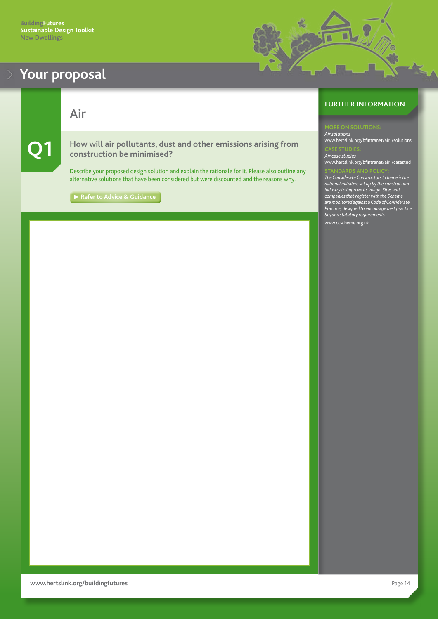<span id="page-14-0"></span>**Air**

**Q1 How will air pollutants, dust and other emissions arising from construction be minimised?**

Describe your proposed design solution and explain the rationale for it. Please also outline any alternative solutions that have been considered but were discounted and the reasons why.

[Refer to Advice & Guidance](#page-30-0)

### **FURTHER INFORMATION**

*Air solutions* [www.hertslink.org/bfintranet/air1/](http://www.hertslink.org/bfintranet/air1/solutions/)solutions

*Air case studies*

[www.hertslink.org/bfintranet/air1/casestud](http://www.hertslink.org/bfintranet/air1/casestud/)

*The Considerate Constructors Scheme is the national initiative set up by the construction industry to improve its image. Sites and companies that register with the Scheme are monitored against a Code of Considerate Practice, designed to encourage best practice beyond statutory requirements*

[www.ccscheme.org.uk](http://www.ccscheme.org.uk)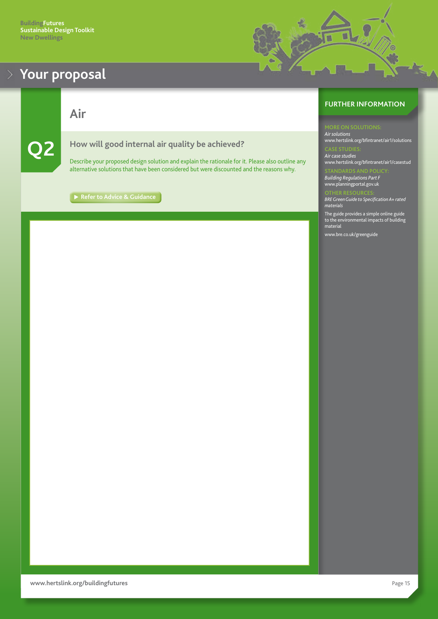<span id="page-15-0"></span>

**Air**



**Q2 How will good internal air quality be achieved?**

Describe your proposed design solution and explain the rationale for it. Please also outline any alternative solutions that have been considered but were discounted and the reasons why.

**[Refer to Advice & Guidance](#page-31-0)** 

#### **FURTHER INFORMATION**

뺉

*Air solutions* [www.hertslink.org/bfintranet/air1/](http://www.hertslink.org/bfintranet/air1/solutions/)solutions *Air case studies* [www.hertslink.org/bfintranet/air1/casestud](http://www.hertslink.org/bfintranet/air1/casestud)

*Building Regulations Part F* <www.planningportal.gov.uk>

*BRE Green Guide to Specification A+ rated materials*

The guide provides a simple online guide to the environmental impacts of building material

[www.bre.co.uk](http://www.bre.co.uk/greenguide)/greenguide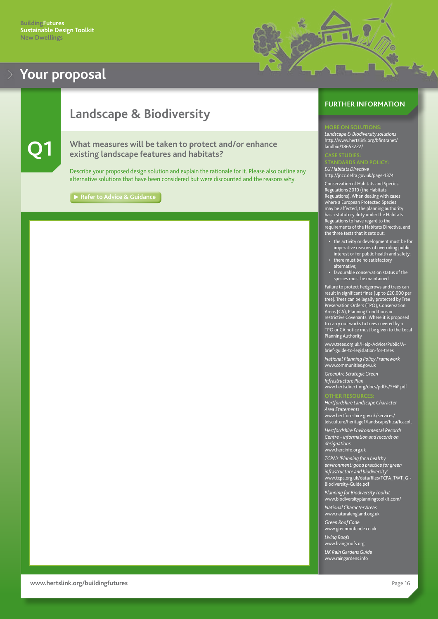

# <span id="page-16-0"></span>**Landscape & Biodiversity**

### **Q1 What measures will be taken to protect and/or enhance existing landscape features and habitats?**

Describe your proposed design solution and explain the rationale for it. Please also outline any alternative solutions that have been considered but were discounted and the reasons why.

**[Refer to Advice & Guidance](#page-32-0)**

#### **FURTHER INFORMATION**

#### **ORE ON SOLUTIO**

*Landscape & Biodiversity solutions* http://www.hertslink.org/bfintranet/ landbio/18653222/

*EU Habitats Directive* <http://jncc.defra.gov.uk/page-1374>

Conservation of Habitats and Species Regulations 2010 (the Habitats Regulations). When dealing with cases where a European Protected Species may be affected, the planning authority has a statutory duty under the Habitats Regulations to have regard to the requirements of the Habitats Directive, and the three tests that it sets out:

- the activity or development must be for imperative reasons of overriding public interest or for public health and safety; • there must be no satisfactory
- alternative;
- favourable conservation status of the species must be maintained.

Failure to protect hedgerows and trees can result in significant fines (up to £20,000 per tree). Trees can be legally protected by Tree Preservation Orders (TPO), Conservation Areas (CA), Planning Conditions or restrictive Covenants. Where it is proposed to carry out works to trees covered by a TPO or CA notice must be given to the Local Planning Authority

[www.trees.org.uk/Help-Advice/Public/A](http://www.trees.org.uk/Help-Advice/Public/A-brief-guide-to-legislation-for-trees)[brief-guide-to-legislation-for-trees](http://www.trees.org.uk/Help-Advice/Public/A-brief-guide-to-legislation-for-trees)

*National Planning Policy Framework* <www.communities.gov.uk>

*GreenArc Strategic Green Infrastructure Plan* <www.hertsdirect.org/docs/pdf/s/SHiP.pdf>

*Hertfordshire Landscape Character Area Statements* [www.hertfordshire.gov.uk/services/](www.hertsdirect.org/services/leisculture/heritage1/landscape/hlca/lcacoll) [leisculture/heritage1/landscape/hlca/lcacoll](www.hertsdirect.org/services/leisculture/heritage1/landscape/hlca/lcacoll)

*Hertfordshire Environmental Records Centre – information and records on designations* [www.hercinfo.org.uk](http://www.hercinfo.org.uk)

*TCPA's 'Planning for a healthy* 

*environment: good practice for green infrastructure and biodiversity'* [www.tcpa.org.uk/data/files/TCPA\\_TWT\\_GI-](www.tcpa.org.uk/data/files/TCPA_TWT_GI-Biodiversity-Guide.pdf)[Biodiversity-Guide.pdf](www.tcpa.org.uk/data/files/TCPA_TWT_GI-Biodiversity-Guide.pdf)

*Planning for Biodiversity Toolkit* <www.biodiversityplanningtoolkit.com/>

*National Character Areas* <www.naturalengland.org.uk>

*Green Roof Code* <www.greenroofcode.co.uk>

*Living Roofs*

<www.livingroofs.org>

*UK Rain Gardens Guide* <www.raingardens.info>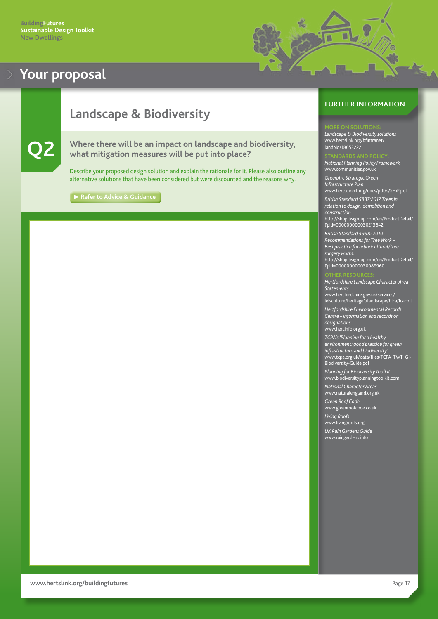# п

# <span id="page-17-0"></span>**Landscape & Biodiversity**



**Q2 Where there will be an impact on landscape and biodiversity, what mitigation measures will be put into place?**

Describe your proposed design solution and explain the rationale for it. Please also outline any alternative solutions that have been considered but were discounted and the reasons why.

**[Refer to Advice & Guidance](#page-33-0)**

#### **FURTHER INFORMATION**

*Landscape & Biodiversity solutions* [www.hertslink.org/bfintranet/](http://www.hertslink.org/bfintranet/landbio/18653222/
) [landbio/](http://www.hertslink.org/bfintranet/landbio/18653222/
)18653222

*National Planning Policy Framework* [www.communities.gov.uk](www.communities.gov.uk/)

*GreenArc Strategic Green Infrastructure Plan* <www.hertsdirect.org/docs/pdf/s/SHiP.pdf>

*British Standard 5837:2012 Trees in relation to design, demolition and construction* [http://shop.bsigroup.com/en/ProductDetail/](http://shop.bsigroup.com/en/ProductDetail/?pid=000000000030213642) [?pid=000000000030213642](http://shop.bsigroup.com/en/ProductDetail/?pid=000000000030213642) *British Standard 3998: 2010 Recommendations for Tree Work – Best practice for arboricultural/tree surgery works.*

[?pid=000000000030089960](http://shop.bsigroup.com/en/ProductDetail/?pid=000000000030089960)

*Hertfordshire Landscape Character Area Statements* [www.hertfordshire.gov.uk/services/](http://www.hertfordshire.gov.uk/services/leisculture/heritage1/landscape/hlca/lcacoll) [leisculture/heritage1/landscape/hlca/lcacoll](http://www.hertfordshire.gov.uk/services/leisculture/heritage1/landscape/hlca/lcacoll) *Hertfordshire Environmental Records* 

[http://shop.bsigroup.com/en/ProductDetail/](http://shop.bsigroup.com/en/ProductDetail/?pid=000000000030089960)

*Centre – information and records on designations* www.hercinfo.org.uk

*TCPA's 'Planning for a healthy environment: good practice for green infrastructure and biodiversity'* [www.tcpa.org.uk/data/files/TCPA\\_TWT\\_GI-](www.tcpa.org.uk/data/files/TCPA_TWT_GI-Biodiversity-Guide.pdf)[Biodiversity-Guide.pdf](www.tcpa.org.uk/data/files/TCPA_TWT_GI-Biodiversity-Guide.pdf)

*Planning for Biodiversity Toolkit* <www.biodiversityplanningtoolkit.com>

*National Character Areas* <www.naturalengland.org.uk>

*Green Roof Code* <www.greenroofcode.co.uk>

*Living Roofs*

<www.livingroofs.org>

*UK Rain Gardens Guide* <www.raingardens.info>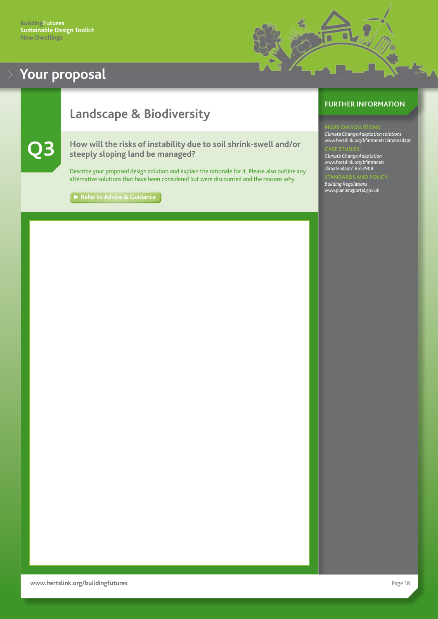# <span id="page-18-0"></span>**Landscape & Biodiversity**

#### **Q3 How will the risks of instability due to soil shrink-swell and/or steeply sloping land be managed?**

Describe your proposed design solution and explain the rationale for it. Please also outline any alternative solutions that have been considered but were discounted and the reasons why.

**► [Refer to Advice & Guidance](#page-33-0)** 

#### **FURTHER INFORMATION**

#### **DRE ON SOLUTIO**

*Climate Change Adaptation solutions* [www.hertslink.org/bfintranet/climateadapt](http://www.hertslink.org/bfintranet/climateadapt)

*Climate Change Adaptation* [www.hertslink.org/bfintranet/](http://www.hertslink.org/bfintranet/climateadapt/18652908) [climateadapt/18652908](http://www.hertslink.org/bfintranet/climateadapt/18652908)

*Building Regulations* <www.planningportal.gov.uk>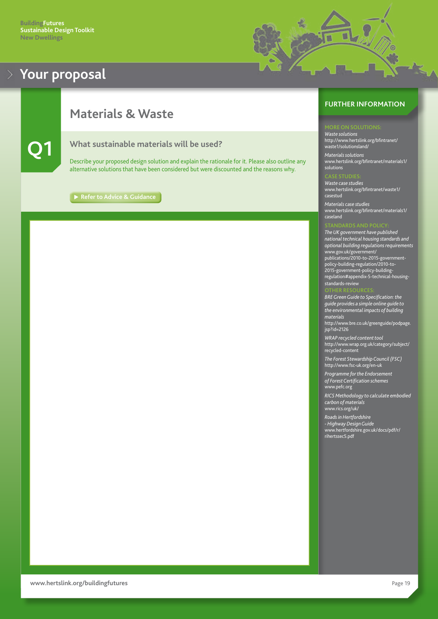

### <span id="page-19-0"></span>**Materials & Waste**



#### **Q1 What sustainable materials will be used?**

Describe your proposed design solution and explain the rationale for it. Please also outline any alternative solutions that have been considered but were discounted and the reasons why.

**[Refer to Advice & Guidance](#page-34-0)**

#### **FURTHER INFORMATION**

*Waste solutions* [http://www.hertslink.org/bfintranet/](http://www.hertslink.org/bfintranet/waste1/solutionsland/) [waste1/solutionsland/](http://www.hertslink.org/bfintranet/waste1/solutionsland/)

*Materials solutions* [www.hertslink.org/bfintranet/materials](http://www.hertslink.org/bfintranet/materials1/solutions)1/ solutions

*Waste case studies* [www.hertslink.org/bfintranet/waste1/](http://www.hertslink.org/bfintranet/waste1/casestud) [casestud](http://www.hertslink.org/bfintranet/waste1/casestud)

*Materials case studies* [www.hertslink.org/bfintranet/materials1/](http://www.hertslink.org/bfintranet/materials1/caseland) [caseland](http://www.hertslink.org/bfintranet/materials1/caseland)

*The UK government have published national technical housing standards and optional building regulations requirements* [www.gov.uk](http://www.gov.uk/government/publications/2010-to-2015-government-policy-building-regulation/2010-to-2015-government-policy-building-regulation#appendix-5-technical-housing-
standards-review)/government/ publications/2010-to-2015-governmentpolicy-building-regulation/2010-to-2015-government-policy-buildingregulation#appendix-5-technical-housingstandards-review

*BRE Green Guide to Specification: the guide provides a simple online guide to the environmental impacts of building materials*

[http://www.bre.co.uk/greenguide/podpage.](http://www.bre.co.uk/greenguide/podpage.jsp?id=2126) [jsp?id=2126](http://www.bre.co.uk/greenguide/podpage.jsp?id=2126)

*WRAP recycled content tool* [http://www.wrap.org.uk/category/subject/](http://www.wrap.org.uk/category/subject/recycled-content) [recycled-content](http://www.wrap.org.uk/category/subject/recycled-content)

*The Forest Stewardship Council (FSC)* <http://www.fsc-uk.org/en-uk>

*Programme for the Endorsement of Forest Certification schemes* <www.pefc.org>

*RICS Methodology to calculate embodied carbon of materials* <www.rics.org/uk/>

*Roads in Hertfordshire - Highway Design Guide*

[www.hertfordshire.gov.uk/docs/pdf/r/](http://www.hertfordshire.gov.uk/docs/pdf/r/rihertssec5.pdf) [rihertssec5.pdf](http://www.hertfordshire.gov.uk/docs/pdf/r/rihertssec5.pdf)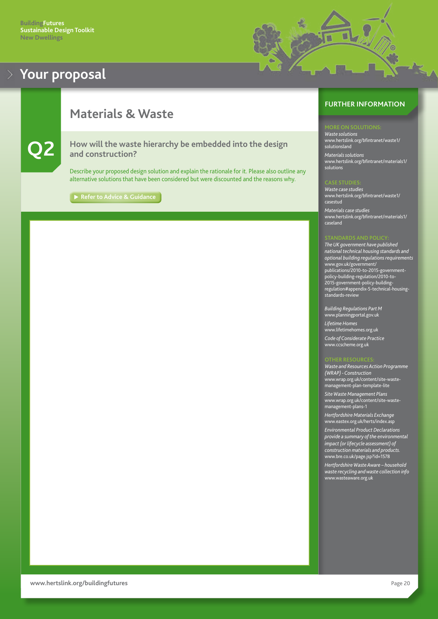

### <span id="page-20-0"></span>**Materials & Waste**

**Q2 How will the waste hierarchy be embedded into the design and construction?**

Describe your proposed design solution and explain the rationale for it. Please also outline any alternative solutions that have been considered but were discounted and the reasons why.

**[Refer to Advice & Guidance](#page-34-0)**

#### **FURTHER INFORMATION**

*Waste solutions* [www.hertslink.org/bfintranet/waste1/](http://www.hertslink.org/bfintranet/waste1/solutionsland) solutionsland

*Materials solutions* [www.hertslink.org/bfintranet/materials](http://www.hertslink.org/bfintranet/materials1/solutions)1/ solutions

*Waste case studies* [www.hertslink.org/bfintranet/waste1/](http://www.hertslink.org/bfintranet/waste1/casestud) [casestud](http://www.hertslink.org/bfintranet/waste1/casestud) *Materials case studies* [www.hertslink.org/bfintranet/materials1/](http://www.hertslink.org/bfintranet/materials1/caseland) [caseland](http://www.hertslink.org/bfintranet/materials1/caseland)

*The UK government have published national technical housing standards and optional building regulations requirements* [www.gov.uk](http://www.gov.uk/government/publications/2010-to-2015-government-policy-building-regulation/2010-to-2015-government-policy-building-regulation#appendix-5-technical-housing-
standards-review)/government/ publications/2010-to-2015-governmentpolicy-building-regulation/2010-to-2015-government-policy-buildingregulation#appendix-5-technical-housingstandards-review

*Building Regulations Part M* <www.planningportal.gov.uk> *Lifetime Homes* <www.lifetimehomes.org.uk> *Code of Considerate Practice* <www.ccscheme.org.uk>

*Waste and Resources Action Programme (WRAP) - Construction* [www.wrap.org.uk/content/s](http://www.wrap.org.uk/content/site-waste-management-plan-template-lite
)ite-wastemanagement-plan-template-lite

*Site Waste Management Plans* [www.wrap.org.uk/content/site-waste](www.wrap.org.uk/content/site-waste-management-plans-1)[management-plans-1](www.wrap.org.uk/content/site-waste-management-plans-1)

*Hertfordshire Materials Exchange* <www.eastex.org.uk/herts/index.asp>

*Environmental Product Declarations provide a summary of the environmental impact (or lifecycle assessment) of construction materials and products.* <www.bre.co.uk/page.jsp?id=1578>

*Hertfordshire Waste Aware – household waste recycling and waste collection info* <www.wasteaware.org.uk>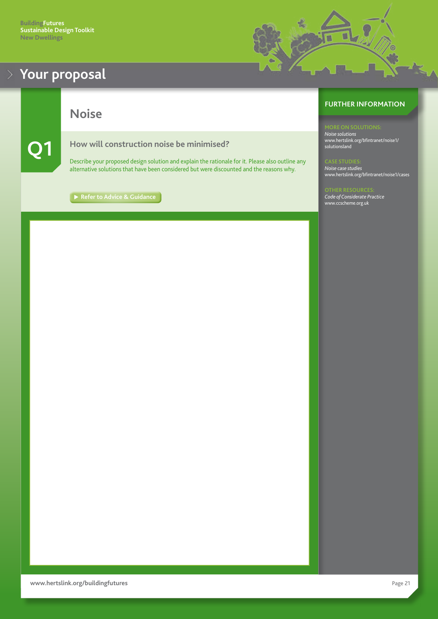<span id="page-21-0"></span>

**Noise**

#### **Q1 How will construction noise be minimised?**

Describe your proposed design solution and explain the rationale for it. Please also outline any alternative solutions that have been considered but were discounted and the reasons why.

[Refer to Advice & Guidance](#page-35-0)

#### **FURTHER INFORMATION**

U

*Noise solutions* [www.hertslink.org/bfintranet/noise1/](http://www.hertslink.org/bfintranet/noise1/solutionsland) solutionsland

*Noise case studies* [www.hertslink.org/bfintranet/noise1/cases](http://www.hertslink.org/bfintranet/noise1/cases)

*Code of Considerate Practice* <www.ccscheme.org.uk>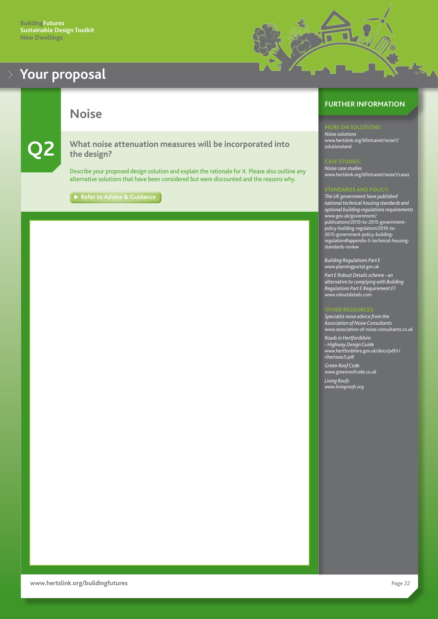<span id="page-22-0"></span>

**Noise**

**Q2 What noise attenuation measures will be incorporated into the design?**

Describe your proposed design solution and explain the rationale for it. Please also outline any alternative solutions that have been considered but were discounted and the reasons why.

[Refer to Advice & Guidance](#page-35-0)



*Noise solutions*

u

[www.hertslink.org/bfintranet/noise1/](http://www.hertslink.org/bfintranet/noise1/solutionsland/) solutionsland

*Noise case studies* [www.hertslink.org/bfintranet/noise1/cases](http://www.hertslink.org/bfintranet/noise1/cases)

*The UK government have published national technical housing standards and optional building regulations requirements* [www.gov.uk](http://www.gov.uk/government/publications/2010-to-2015-government-policy-building-regulation/2010-to-2015-government-policy-building-regulation#appendix-5-technical-housing-
standards-review)/government/ publications/2010-to-2015-governmentpolicy-building-regulation/2010-to-2015-government-policy-buildingregulation#appendix-5-technical-housingstandards-review

*Building Regulations Part E* <www.planningportal.gov.uk>

*Part E Robust Details scheme - an alternative to complying with Building Regulations Part E Requirement E1* <www.robustdetails.com>

*Specialist noise advice from the Association of Noise Consultants* [www.association-of-noise-consultants.co.uk](http://www.association-of-noise-consultants.co.uk)

*Roads in Hertfordshire - Highway Design Guide* [www.hertfordshire.gov.uk/docs/pdf/r/](http://www.hertfordshire.gov.uk/docs/pdf/r/rihertssec5.pdf) [rihertssec5.pdf](http://www.hertfordshire.gov.uk/docs/pdf/r/rihertssec5.pdf) *Green Roof Code*

<www.greenroofcode.co.uk>

*Living Roofs <www.livingroofs.org>*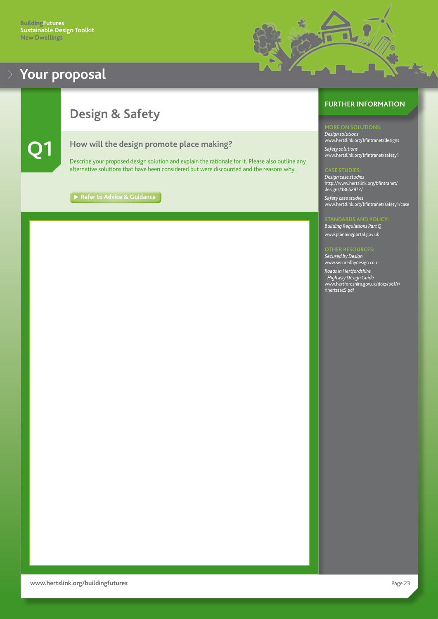

# <span id="page-23-0"></span>**Design & Safety**



**Q1 How will the design promote place making?**

Describe your proposed design solution and explain the rationale for it. Please also outline any alternative solutions that have been considered but were discounted and the reasons why.

**[Refer to Advice & Guidance](#page-36-0)** 

#### **FURTHER INFORMATION**

*Design solutions* [www.hertslink.org/bfintranet/designs](http://www.hertslink.org/bfintranet/designs/) *Safety solutions* [www.hertslink.org/bfintranet/safety1](http://www.hertslink.org/bfintranet/safety1)

*Design case studies* [http://www.hertslink.org/bfintranet/](http://www.hertslink.org/bfintranet/designs/18652972/) [designs/18652972/](http://www.hertslink.org/bfintranet/designs/18652972/) *Safety case studies*

[www.hertslink.org/bfintranet/safety1/case](http://www.hertslink.org/bfintranet/safety1/case/)

#### *Building Regulations Part Q*

<www.planningportal.gov.uk>

*Secured by Design* <www.securedbydesign.com> *Roads in Hertfordshire - Highway Design Guide* [www.hertfordshire.gov.uk/docs/pdf/r/](http://www.hertfordshire.gov.uk/docs/pdf/r/rihertssec5.pdf) [rihertssec5.pdf](http://www.hertfordshire.gov.uk/docs/pdf/r/rihertssec5.pdf)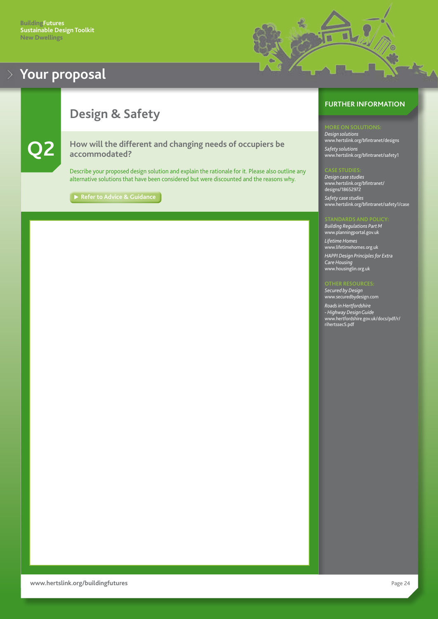

# <span id="page-24-0"></span>**Design & Safety**



**Q2 How will the different and changing needs of occupiers be accommodated?**

Describe your proposed design solution and explain the rationale for it. Please also outline any alternative solutions that have been considered but were discounted and the reasons why.

[Refer to Advice & Guidance](#page-36-0)

#### **FURTHER INFORMATION**

*Design solutions* [www.hertslink.org/bfintranet/designs](http://www.hertslink.org/bfintranet/designs) *Safety solutions* [www.hertslink.org/bfintranet/safety1](http://www.hertslink.org/bfintranet/safety1)

*Design case studies* [www.hertslink.org/bfintranet/](http://www.hertslink.org/bfintranet/designs/18652972/) [designs/18652972](http://www.hertslink.org/bfintranet/designs/18652972/) *Safety case studies* [www.hertslink.org/bfintranet/safety1/case](http://www.hertslink.org/bfintranet/safety1/case)

*Building Regulations Part M* <www.planningportal.gov.uk> *Lifetime Homes* <www.lifetimehomes.org.uk> *HAPPI Design Principles for Extra Care Housing* <www.housinglin.org.uk>

#### **THER RESOURC**

*Secured by Design* <www.securedbydesign.com> *Roads in Hertfordshire - Highway Design Guide* [www.hertfordshire.gov.uk/docs/pdf/r/](http://www.hertfordshire.gov.uk/docs/pdf/r/rihertssec5.pdf) [rihertssec5.pdf](http://www.hertfordshire.gov.uk/docs/pdf/r/rihertssec5.pdf)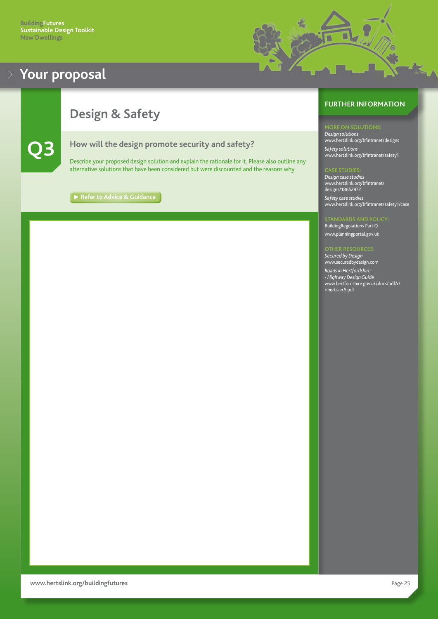### <span id="page-25-0"></span>**Design & Safety**



**Q3 How will the design promote security and safety?**

Describe your proposed design solution and explain the rationale for it. Please also outline any alternative solutions that have been considered but were discounted and the reasons why.

**[Refer to Advice & Guidance](#page-37-0)** 

### **FURTHER INFORMATION**

U

*Design solutions* [www.hertslink.org/bfintranet/designs](http://www.hertslink.org/bfintranet/designs) *Safety solutions* [www.hertslink.org/bfintranet/safety1](http://www.hertslink.org/bfintranet/safety1)

*Design case studies* [www.hertslink.org/bfintranet/](http://www.hertslink.org/bfintranet/designs/18652972) [designs/18652972](http://www.hertslink.org/bfintranet/designs/18652972) *Safety case studies*

[www.hertslink.org/bfintranet/safety1/case](http://www.hertslink.org/bfintranet/safety1/case)

BuildingRegulations Part Q <www.planningportal.gov.uk>

*Secured by Design* <www.securedbydesign.com> *Roads in Hertfordshire - Highway Design Guide* [www.hertfordshire.gov.uk/docs/pdf/r/](http://www.hertfordshire.gov.uk/docs/pdf/r/rihertssec5.pdf) [rihertssec5.pdf](http://www.hertfordshire.gov.uk/docs/pdf/r/rihertssec5.pdf)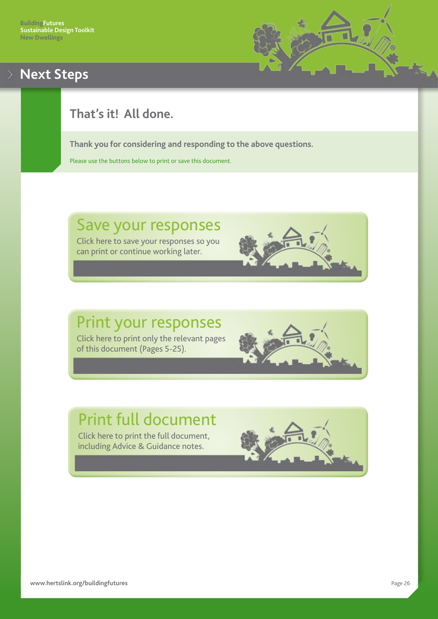

# <span id="page-26-0"></span>**Next Steps**

# **That's it! All done.**

**Thank you for considering and responding to the above questions.**

Please use the buttons below to print or save this document.

# Save your responses

Click here to save your responses so you can print or continue working later.

# Print your responses Click here to print only the relevant pages

of this document (Pages 5-25).

# Print full document

Click here to print the full document, including Advice & Guidance notes.

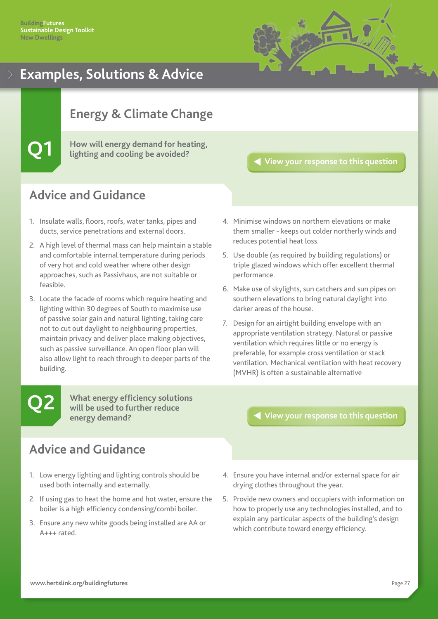

# <span id="page-27-0"></span>**Energy & Climate Change**

**Q1 How will energy demand for heating, lighting and cooling be avoided?**

#### **[View your response to this question](#page-7-0)**

### **Advice and Guidance**

- 1. Insulate walls, floors, roofs, water tanks, pipes and ducts, service penetrations and external doors.
- 2. A high level of thermal mass can help maintain a stable and comfortable internal temperature during periods of very hot and cold weather where other design approaches, such as Passivhaus, are not suitable or feasible.
- 3. Locate the facade of rooms which require heating and lighting within 30 degrees of South to maximise use of passive solar gain and natural lighting, taking care not to cut out daylight to neighbouring properties, maintain privacy and deliver place making objectives, such as passive surveillance. An open floor plan will also allow light to reach through to deeper parts of the building.
- 4. Minimise windows on northern elevations or make them smaller - keeps out colder northerly winds and reduces potential heat loss.
- 5. Use double (as required by building regulations) or triple glazed windows which offer excellent thermal performance.
- 6. Make use of skylights, sun catchers and sun pipes on southern elevations to bring natural daylight into darker areas of the house.
- 7. Design for an airtight building envelope with an appropriate ventilation strategy. Natural or passive ventilation which requires little or no energy is preferable, for example cross ventilation or stack ventilation. Mechanical ventilation with heat recovery (MVHR) is often a sustainable alternative

**Q2**

**What energy efficiency solutions will be used to further reduce energy demand?**

### **Advice and Guidance**

- 1. Low energy lighting and lighting controls should be used both internally and externally.
- 2. If using gas to heat the home and hot water, ensure the boiler is a high efficiency condensing/combi boiler.
- 3. Ensure any new white goods being installed are AA or A+++ rated.

- 4. Ensure you have internal and/or external space for air drying clothes throughout the year.
- 5. Provide new owners and occupiers with information on how to properly use any technologies installed, and to explain any particular aspects of the building's design which contribute toward energy efficiency.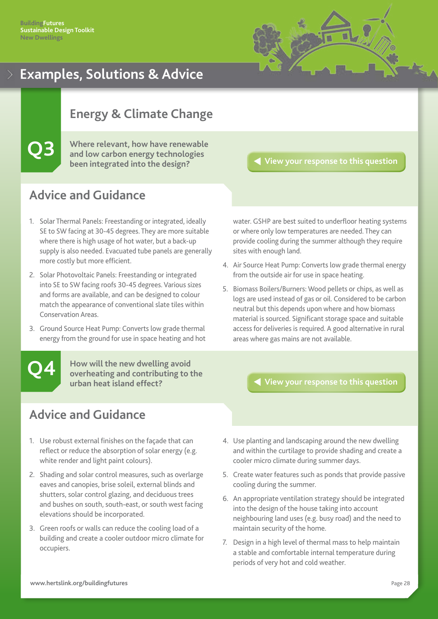

### <span id="page-28-0"></span>**Energy & Climate Change**

**Q3 Where relevant, how have renewable and low carbon energy technologies been integrated into the design?**

**[View your response to this question](#page-9-0)**

### **Advice and Guidance**

- 1. Solar Thermal Panels: Freestanding or integrated, ideally SE to SW facing at 30-45 degrees. They are more suitable where there is high usage of hot water, but a back-up supply is also needed. Evacuated tube panels are generally more costly but more efficient.
- 2. Solar Photovoltaic Panels: Freestanding or integrated into SE to SW facing roofs 30-45 degrees. Various sizes and forms are available, and can be designed to colour match the appearance of conventional slate tiles within Conservation Areas.
- 3. Ground Source Heat Pump: Converts low grade thermal energy from the ground for use in space heating and hot

**Q4**

**How will the new dwelling avoid overheating and contributing to the urban heat island effect?**

**Advice and Guidance**

- 1. Use robust external finishes on the façade that can reflect or reduce the absorption of solar energy (e.g. white render and light paint colours).
- 2. Shading and solar control measures, such as overlarge eaves and canopies, brise soleil, external blinds and shutters, solar control glazing, and deciduous trees and bushes on south, south-east, or south west facing elevations should be incorporated.
- 3. Green roofs or walls can reduce the cooling load of a building and create a cooler outdoor micro climate for occupiers.

water. GSHP are best suited to underfloor heating systems or where only low temperatures are needed. They can provide cooling during the summer although they require sites with enough land.

- 4. Air Source Heat Pump: Converts low grade thermal energy from the outside air for use in space heating.
- 5. Biomass Boilers/Burners: Wood pellets or chips, as well as logs are used instead of gas or oil. Considered to be carbon neutral but this depends upon where and how biomass material is sourced. Significant storage space and suitable access for deliveries is required. A good alternative in rural areas where gas mains are not available.

- 4. Use planting and landscaping around the new dwelling and within the curtilage to provide shading and create a cooler micro climate during summer days.
- 5. Create water features such as ponds that provide passive cooling during the summer.
- 6. An appropriate ventilation strategy should be integrated into the design of the house taking into account neighbouring land uses (e.g. busy road) and the need to maintain security of the home.
- 7. Design in a high level of thermal mass to help maintain a stable and comfortable internal temperature during periods of very hot and cold weather.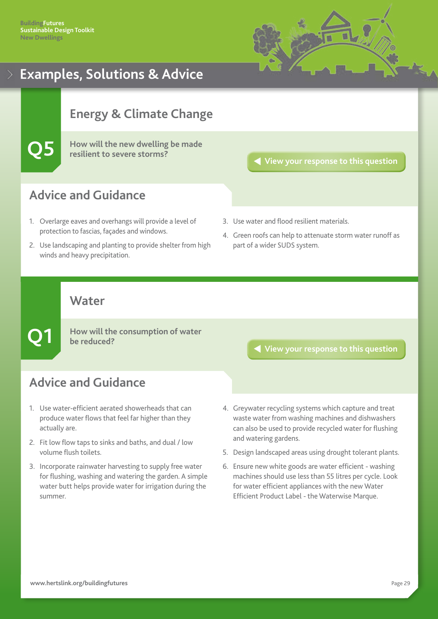

# <span id="page-29-0"></span>**Energy & Climate Change**

**Q5 How will the new dwelling be made resilient to severe storms?**

#### **[View your response to this question](#page-11-0)**

### **Advice and Guidance**

- 1. Overlarge eaves and overhangs will provide a level of protection to fascias, façades and windows.
- 2. Use landscaping and planting to provide shelter from high winds and heavy precipitation.
- 3. Use water and flood resilient materials.
- 4. Green roofs can help to attenuate storm water runoff as part of a wider SUDS system.

### **Water**

**Q1**

**How will the consumption of water be reduced?**

# **Advice and Guidance**

- 1. Use water-efficient aerated showerheads that can produce water flows that feel far higher than they actually are.
- 2. Fit low flow taps to sinks and baths, and dual / low volume flush toilets.
- 3. Incorporate rainwater harvesting to supply free water for flushing, washing and watering the garden. A simple water butt helps provide water for irrigation during the summer.

- 4. Greywater recycling systems which capture and treat waste water from washing machines and dishwashers can also be used to provide recycled water for flushing and watering gardens.
- 5. Design landscaped areas using drought tolerant plants.
- 6. Ensure new white goods are water efficient washing machines should use less than 55 litres per cycle. Look for water efficient appliances with the new Water Efficient Product Label - the Waterwise Marque.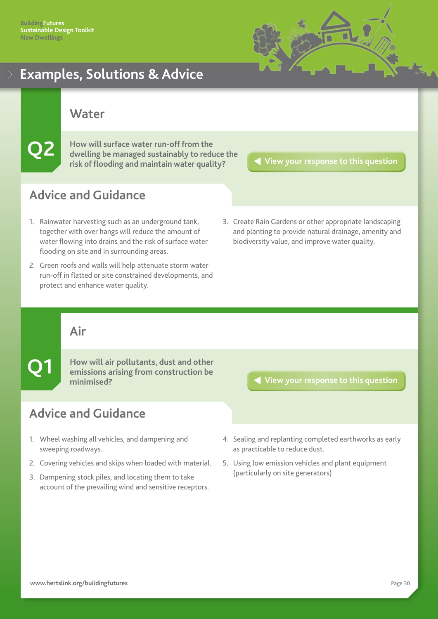

<span id="page-30-0"></span>**Water**

**Q2** How will surface water run-off from the dwelling be managed sustainably to reduce the **risk of flooding and maintain water quality?**

**[View your response to this question](#page-13-0)**

# **Advice and Guidance**

- 1. Rainwater harvesting such as an underground tank, together with over hangs will reduce the amount of water flowing into drains and the risk of surface water flooding on site and in surrounding areas.
- 2. Green roofs and walls will help attenuate storm water run-off in flatted or site constrained developments, and protect and enhance water quality.
- 3. Create Rain Gardens or other appropriate landscaping and planting to provide natural drainage, amenity and biodiversity value, and improve water quality.

### **Air**

**Q1**

**How will air pollutants, dust and other emissions arising from construction be minimised?**

### **Advice and Guidance**

- 1. Wheel washing all vehicles, and dampening and sweeping roadways.
- 2. Covering vehicles and skips when loaded with material.
- 3. Dampening stock piles, and locating them to take account of the prevailing wind and sensitive receptors.

- 4. Sealing and replanting completed earthworks as early as practicable to reduce dust.
- 5. Using low emission vehicles and plant equipment (particularly on site generators)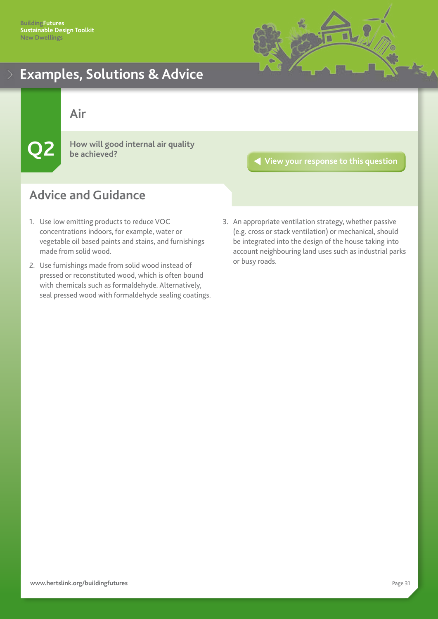

<span id="page-31-0"></span>**Air**

**Q2 How will good internal air quality be achieved?**

**[View your response to this question](#page-15-0)**

- 1. Use low emitting products to reduce VOC concentrations indoors, for example, water or vegetable oil based paints and stains, and furnishings made from solid wood.
- 2. Use furnishings made from solid wood instead of pressed or reconstituted wood, which is often bound with chemicals such as formaldehyde. Alternatively, seal pressed wood with formaldehyde sealing coatings.
- 3. An appropriate ventilation strategy, whether passive (e.g. cross or stack ventilation) or mechanical, should be integrated into the design of the house taking into account neighbouring land uses such as industrial parks or busy roads.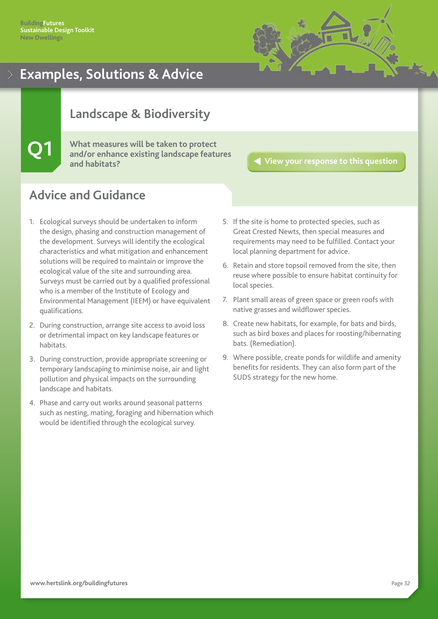

### <span id="page-32-0"></span>**Landscape & Biodiversity**

**Q1 What measures will be taken to protect and/or enhance existing landscape features and habitats?**

**[View your response to this question](#page-16-0)**

- 1. Ecological surveys should be undertaken to inform the design, phasing and construction management of the development. Surveys will identify the ecological characteristics and what mitigation and enhancement solutions will be required to maintain or improve the ecological value of the site and surrounding area. Surveys must be carried out by a qualified professional who is a member of the Institute of Ecology and Environmental Management (IEEM) or have equivalent qualifications.
- 2. During construction, arrange site access to avoid loss or detrimental impact on key landscape features or habitats.
- 3. During construction, provide appropriate screening or temporary landscaping to minimise noise, air and light pollution and physical impacts on the surrounding landscape and habitats.
- 4. Phase and carry out works around seasonal patterns such as nesting, mating, foraging and hibernation which would be identified through the ecological survey.
- 5. If the site is home to protected species, such as Great Crested Newts, then special measures and requirements may need to be fulfilled. Contact your local planning department for advice.
- 6. Retain and store topsoil removed from the site, then reuse where possible to ensure habitat continuity for local species.
- 7. Plant small areas of green space or green roofs with native grasses and wildflower species.
- 8. Create new habitats, for example, for bats and birds, such as bird boxes and places for roosting/hibernating bats. (Remediation).
- 9. Where possible, create ponds for wildlife and amenity benefits for residents. They can also form part of the SUDS strategy for the new home.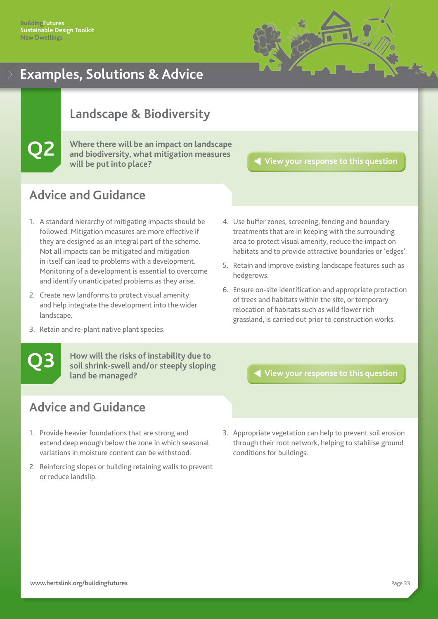

### <span id="page-33-0"></span>**Landscape & Biodiversity**

**Q2 Where there will be an impact on landscape and biodiversity, what mitigation measures will be put into place?**

**[View your response to this question](#page-17-0)**

### **Advice and Guidance**

- 1. A standard hierarchy of mitigating impacts should be followed. Mitigation measures are more effective if they are designed as an integral part of the scheme. Not all impacts can be mitigated and mitigation in itself can lead to problems with a development. Monitoring of a development is essential to overcome and identify unanticipated problems as they arise.
- 2. Create new landforms to protect visual amenity and help integrate the development into the wider landscape.
- 3. Retain and re-plant native plant species.

**Q3**

**How will the risks of instability due to soil shrink-swell and/or steeply sloping land be managed?**

### **Advice and Guidance**

- 1. Provide heavier foundations that are strong and extend deep enough below the zone in which seasonal variations in moisture content can be withstood.
- 2. Reinforcing slopes or building retaining walls to prevent or reduce landslip.
- 4. Use buffer zones, screening, fencing and boundary treatments that are in keeping with the surrounding area to protect visual amenity, reduce the impact on habitats and to provide attractive boundaries or 'edges'.
- 5. Retain and improve existing landscape features such as hedgerows.
- 6. Ensure on-site identification and appropriate protection of trees and habitats within the site, or temporary relocation of habitats such as wild flower rich grassland, is carried out prior to construction works.

**[View your response to this question](#page-18-0)**

3. Appropriate vegetation can help to prevent soil erosion through their root network, helping to stabilise ground conditions for buildings.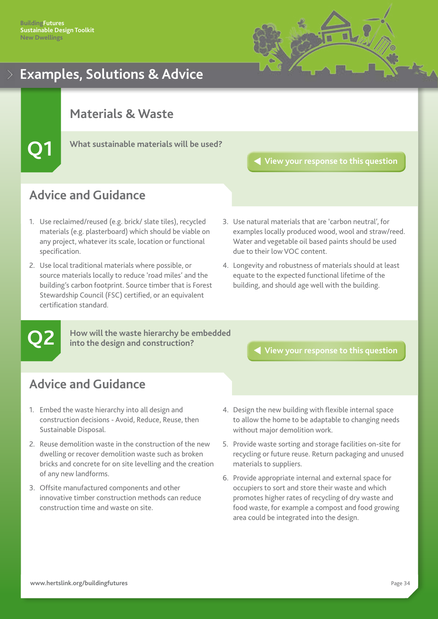

### <span id="page-34-0"></span>**Materials & Waste**

**Q1 What sustainable materials will be used?**

**[View your response to this question](#page-19-0)**

### **Advice and Guidance**

- 1. Use reclaimed/reused (e.g. brick/ slate tiles), recycled materials (e.g. plasterboard) which should be viable on any project, whatever its scale, location or functional specification.
- 2. Use local traditional materials where possible, or source materials locally to reduce 'road miles' and the building's carbon footprint. Source timber that is Forest Stewardship Council (FSC) certified, or an equivalent certification standard.
- 3. Use natural materials that are 'carbon neutral', for examples locally produced wood, wool and straw/reed. Water and vegetable oil based paints should be used due to their low VOC content.
- 4. Longevity and robustness of materials should at least equate to the expected functional lifetime of the building, and should age well with the building.

# **Q2**

**How will the waste hierarchy be embedded into the design and construction?**

- 1. Embed the waste hierarchy into all design and construction decisions - Avoid, Reduce, Reuse, then Sustainable Disposal.
- 2. Reuse demolition waste in the construction of the new dwelling or recover demolition waste such as broken bricks and concrete for on site levelling and the creation of any new landforms.
- 3. Offsite manufactured components and other innovative timber construction methods can reduce construction time and waste on site.
- **[View your response to this question](#page-20-0)**
- 4. Design the new building with flexible internal space to allow the home to be adaptable to changing needs without major demolition work.
- 5. Provide waste sorting and storage facilities on-site for recycling or future reuse. Return packaging and unused materials to suppliers.
- 6. Provide appropriate internal and external space for occupiers to sort and store their waste and which promotes higher rates of recycling of dry waste and food waste, for example a compost and food growing area could be integrated into the design.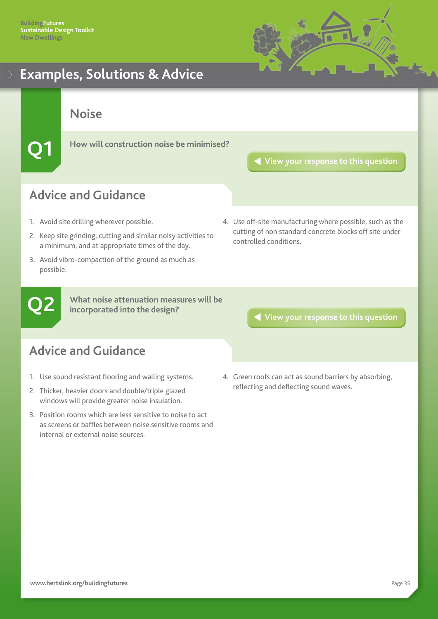

<span id="page-35-0"></span>**Noise**

**Q1 How will construction noise be minimised?**

**[View your response to this question](#page-21-0)**

# **Advice and Guidance**

- 1. Avoid site drilling wherever possible.
- 2. Keep site grinding, cutting and similar noisy activities to a minimum, and at appropriate times of the day.
- 3. Avoid vibro-compaction of the ground as much as possible.
- 4. Use off-site manufacturing where possible, such as the cutting of non standard concrete blocks off site under controlled conditions.

**Q2**

**What noise attenuation measures will be incorporated into the design?**

**[View your response to this question](#page-22-0)**

- 1. Use sound resistant flooring and walling systems.
- 2. Thicker, heavier doors and double/triple glazed windows will provide greater noise insulation.
- 3. Position rooms which are less sensitive to noise to act as screens or baffles between noise sensitive rooms and internal or external noise sources.
- 4. Green roofs can act as sound barriers by absorbing, reflecting and deflecting sound waves.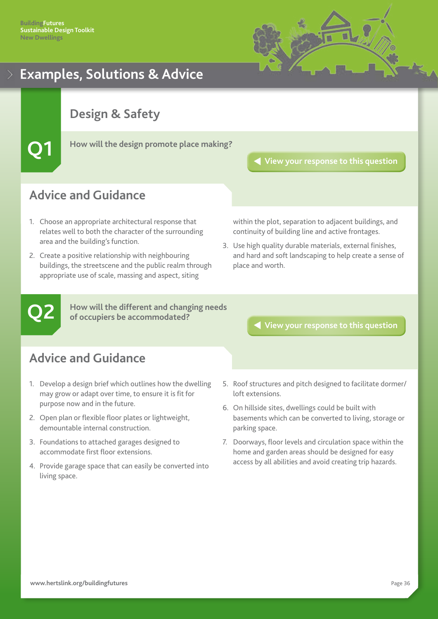

### <span id="page-36-0"></span>**Design & Safety**

**Q1 How will the design promote place making?**

**[View your response to this question](#page-23-0)**

### **Advice and Guidance**

- 1. Choose an appropriate architectural response that relates well to both the character of the surrounding area and the building's function.
- 2. Create a positive relationship with neighbouring buildings, the streetscene and the public realm through appropriate use of scale, massing and aspect, siting

within the plot, separation to adjacent buildings, and continuity of building line and active frontages.

3. Use high quality durable materials, external finishes, and hard and soft landscaping to help create a sense of place and worth.

**Q2**

**How will the different and changing needs of occupiers be accommodated?**

**[View your response to this question](#page-24-0)**

- 1. Develop a design brief which outlines how the dwelling may grow or adapt over time, to ensure it is fit for purpose now and in the future.
- 2. Open plan or flexible floor plates or lightweight, demountable internal construction.
- 3. Foundations to attached garages designed to accommodate first floor extensions.
- 4. Provide garage space that can easily be converted into living space.
- 5. Roof structures and pitch designed to facilitate dormer/ loft extensions.
- 6. On hillside sites, dwellings could be built with basements which can be converted to living, storage or parking space.
- 7. Doorways, floor levels and circulation space within the home and garden areas should be designed for easy access by all abilities and avoid creating trip hazards.